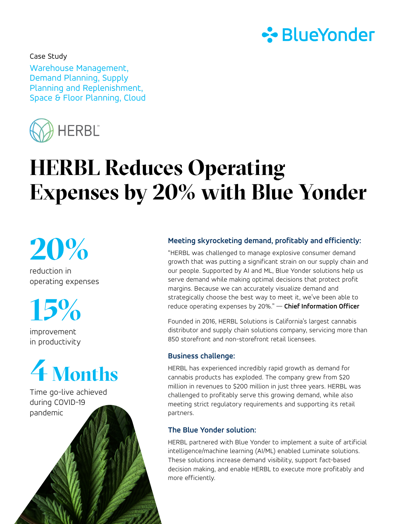

Warehouse Management, Demand Planning, Supply Planning and Replenishment, Space & Floor Planning, Cloud Case Study



### **HERBL Reduces Operating Expenses by 20% with Blue Yonder**

# **20%**

reduction in operating expenses

**15%**

improvement in productivity

## **4 Months**

Time go-live achieved during COVID-19 pandemic

### **Meeting skyrocketing demand, profitably and efficiently:**

"HERBL was challenged to manage explosive consumer demand growth that was putting a significant strain on our supply chain and our people. Supported by AI and ML, Blue Yonder solutions help us serve demand while making optimal decisions that protect profit margins. Because we can accurately visualize demand and strategically choose the best way to meet it, we've been able to reduce operating expenses by 20%." — **Chief Information Officer**

Founded in 2016, HERBL Solutions is California's largest cannabis distributor and supply chain solutions company, servicing more than 850 storefront and non-storefront retail licensees.

#### **Business challenge:**

HERBL has experienced incredibly rapid growth as demand for cannabis products has exploded. The company grew from \$20 million in revenues to \$200 million in just three years. HERBL was challenged to profitably serve this growing demand, while also meeting strict regulatory requirements and supporting its retail partners.

#### **The Blue Yonder solution:**

HERBL partnered with Blue Yonder to implement a suite of artificial intelligence/machine learning (AI/ML) enabled Luminate solutions. These solutions increase demand visibility, support fact-based decision making, and enable HERBL to execute more profitably and more efficiently.